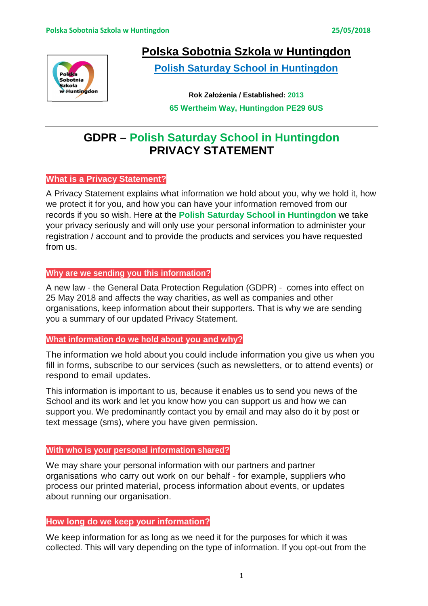

# **Polska Sobotnia Szkola w Huntingdon**

**Polish Saturday School in Huntingdon**

**Rok Założenia / Established: 2013 65 Wertheim Way, Huntingdon PE29 6US** 

# **GDPR – Polish Saturday School in Huntingdon PRIVACY STATEMENT**

## **What is a Privacy Statement?**

A Privacy Statement explains what information we hold about you, why we hold it, how we protect it for you, and how you can have your information removed from our records if you so wish. Here at the **Polish Saturday School in Huntingdon** we take your privacy seriously and will only use your personal information to administer your registration / account and to provide the products and services you have requested from us.

### **Why are we sending you this information?**

A new law - the General Data Protection Regulation (GDPR) - comes into effect on 25 May 2018 and affects the way charities, as well as companies and other organisations, keep information about their supporters. That is why we are sending you a summary of our updated Privacy Statement.

### **What information do we hold about you and why?**

The information we hold about you could include information you give us when you fill in forms, subscribe to our services (such as newsletters, or to attend events) or respond to email updates.

This information is important to us, because it enables us to send you news of the School and its work and let you know how you can support us and how we can support you. We predominantly contact you by email and may also do it by post or text message (sms), where you have given permission.

### **With who is your personal information shared?**

We may share your personal information with our partners and partner organisations who carry out work on our behalf - for example, suppliers who process our printed material, process information about events, or updates about running our organisation.

## **How long do we keep your information?**

We keep information for as long as we need it for the purposes for which it was collected. This will vary depending on the type of information. If you opt-out from the